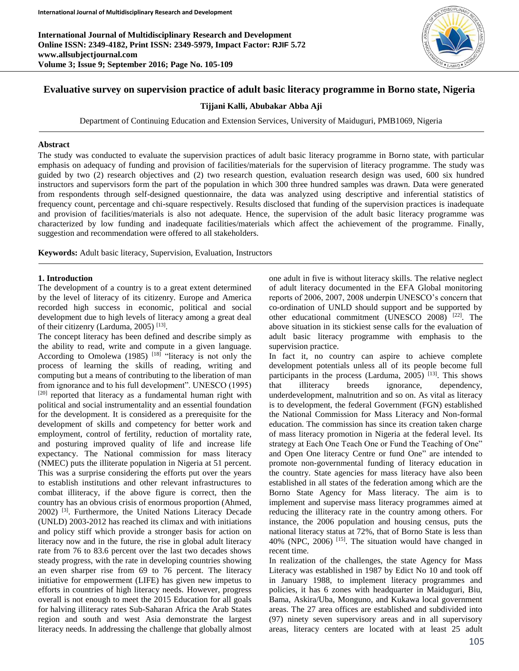**International Journal of Multidisciplinary Research and Development Online ISSN: 2349-4182, Print ISSN: 2349-5979, Impact Factor: RJIF 5.72 www.allsubjectjournal.com Volume 3; Issue 9; September 2016; Page No. 105-109**



# **Evaluative survey on supervision practice of adult basic literacy programme in Borno state, Nigeria**

### **Tijjani Kalli, Abubakar Abba Aji**

Department of Continuing Education and Extension Services, University of Maiduguri, PMB1069, Nigeria

#### **Abstract**

The study was conducted to evaluate the supervision practices of adult basic literacy programme in Borno state, with particular emphasis on adequacy of funding and provision of facilities/materials for the supervision of literacy programme. The study was guided by two (2) research objectives and (2) two research question, evaluation research design was used, 600 six hundred instructors and supervisors form the part of the population in which 300 three hundred samples was drawn. Data were generated from respondents through self-designed questionnaire, the data was analyzed using descriptive and inferential statistics of frequency count, percentage and chi-square respectively. Results disclosed that funding of the supervision practices is inadequate and provision of facilities/materials is also not adequate. Hence, the supervision of the adult basic literacy programme was characterized by low funding and inadequate facilities/materials which affect the achievement of the programme. Finally, suggestion and recommendation were offered to all stakeholders.

**Keywords:** Adult basic literacy, Supervision, Evaluation, Instructors

#### **1. Introduction**

The development of a country is to a great extent determined by the level of literacy of its citizenry. Europe and America recorded high success in economic, political and social development due to high levels of literacy among a great deal of their citizenry (Larduma, 2005)<sup>[13]</sup>.

The concept literacy has been defined and describe simply as the ability to read, write and compute in a given language. According to Omolewa (1985)  $[18]$  "literacy is not only the process of learning the skills of reading, writing and computing but a means of contributing to the liberation of man from ignorance and to his full development". UNESCO (1995)  $[20]$  reported that literacy as a fundamental human right with political and social instrumentality and an essential foundation for the development. It is considered as a prerequisite for the development of skills and competency for better work and employment, control of fertility, reduction of mortality rate, and posturing improved quality of life and increase life expectancy. The National commission for mass literacy (NMEC) puts the illiterate population in Nigeria at 51 percent. This was a surprise considering the efforts put over the years to establish institutions and other relevant infrastructures to combat illiteracy, if the above figure is correct, then the country has an obvious crisis of enormous proportion (Ahmed, 2002) [3] . Furthermore, the United Nations Literacy Decade (UNLD) 2003-2012 has reached its climax and with initiations and policy stiff which provide a stronger basis for action on literacy now and in the future, the rise in global adult literacy rate from 76 to 83.6 percent over the last two decades shows steady progress, with the rate in developing countries showing an even sharper rise from 69 to 76 percent. The literacy initiative for empowerment (LIFE) has given new impetus to efforts in countries of high literacy needs. However, progress overall is not enough to meet the 2015 Education for all goals for halving illiteracy rates Sub-Saharan Africa the Arab States region and south and west Asia demonstrate the largest literacy needs. In addressing the challenge that globally almost

one adult in five is without literacy skills. The relative neglect of adult literacy documented in the EFA Global monitoring reports of 2006, 2007, 2008 underpin UNESCO's concern that co-ordination of UNLD should support and be supported by other educational commitment (UNESCO 2008)<sup>[22]</sup>. The above situation in its stickiest sense calls for the evaluation of adult basic literacy programme with emphasis to the supervision practice.

In fact it, no country can aspire to achieve complete development potentials unless all of its people become full participants in the process (Larduma,  $2005$ ) <sup>[13]</sup>. This shows that illiteracy breeds ignorance, dependency, underdevelopment, malnutrition and so on. As vital as literacy is to development, the federal Government (FGN) established the National Commission for Mass Literacy and Non-formal education. The commission has since its creation taken charge of mass literacy promotion in Nigeria at the federal level. Its strategy at Each One Teach One or Fund the Teaching of One" and Open One literacy Centre or fund One" are intended to promote non-governmental funding of literacy education in the country. State agencies for mass literacy have also been established in all states of the federation among which are the Borno State Agency for Mass literacy. The aim is to implement and supervise mass literacy programmes aimed at reducing the illiteracy rate in the country among others. For instance, the 2006 population and housing census, puts the national literacy status at 72%, that of Borno State is less than  $40\%$  (NPC, 2006) <sup>[15]</sup>. The situation would have changed in recent time.

In realization of the challenges, the state Agency for Mass Literacy was established in 1987 by Edict No 10 and took off in January 1988, to implement literacy programmes and policies, it has 6 zones with headquarter in Maiduguri, Biu, Bama, Askira/Uba, Monguno, and Kukawa local government areas. The 27 area offices are established and subdivided into (97) ninety seven supervisory areas and in all supervisory areas, literacy centers are located with at least 25 adult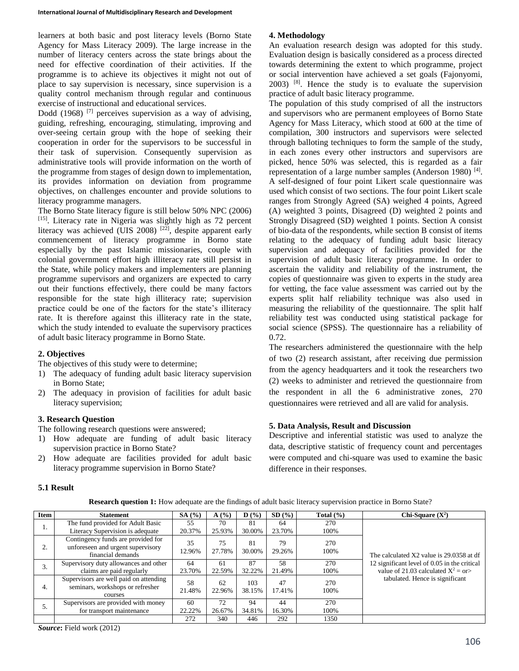learners at both basic and post literacy levels (Borno State Agency for Mass Literacy 2009). The large increase in the number of literacy centers across the state brings about the need for effective coordination of their activities. If the programme is to achieve its objectives it might not out of place to say supervision is necessary, since supervision is a quality control mechanism through regular and continuous exercise of instructional and educational services.

Dodd  $(1968)$ <sup>[7]</sup> perceives supervision as a way of advising, guiding, refreshing, encouraging, stimulating, improving and over-seeing certain group with the hope of seeking their cooperation in order for the supervisors to be successful in their task of supervision. Consequently supervision as administrative tools will provide information on the worth of the programme from stages of design down to implementation, its provides information on deviation from programme objectives, on challenges encounter and provide solutions to literacy programme managers.

The Borno State literacy figure is still below 50% NPC (2006) [15]. Literacy rate in Nigeria was slightly high as 72 percent literacy was achieved (UIS 2008)  $^{[22]}$ , despite apparent early commencement of literacy programme in Borno state especially by the past Islamic missionaries, couple with colonial government effort high illiteracy rate still persist in the State, while policy makers and implementers are planning programme supervisors and organizers are expected to carry out their functions effectively, there could be many factors responsible for the state high illiteracy rate; supervision practice could be one of the factors for the state's illiteracy rate. It is therefore against this illiteracy rate in the state, which the study intended to evaluate the supervisory practices of adult basic literacy programme in Borno State.

# **2. Objectives**

The objectives of this study were to determine;

- 1) The adequacy of funding adult basic literacy supervision in Borno State;
- 2) The adequacy in provision of facilities for adult basic literacy supervision;

# **3. Research Question**

The following research questions were answered;

- 1) How adequate are funding of adult basic literacy supervision practice in Borno State?
- 2) How adequate are facilities provided for adult basic literacy programme supervision in Borno State?

# **4. Methodology**

An evaluation research design was adopted for this study. Evaluation design is basically considered as a process directed towards determining the extent to which programme, project or social intervention have achieved a set goals (Fajonyomi,  $2003$ ) <sup>[8]</sup>. Hence the study is to evaluate the supervision practice of adult basic literacy programme.

The population of this study comprised of all the instructors and supervisors who are permanent employees of Borno State Agency for Mass Literacy, which stood at 600 at the time of compilation, 300 instructors and supervisors were selected through balloting techniques to form the sample of the study, in each zones every other instructors and supervisors are picked, hence 50% was selected, this is regarded as a fair representation of a large number samples (Anderson 1980)<sup>[4]</sup>. A self-designed of four point Likert scale questionnaire was used which consist of two sections. The four point Likert scale ranges from Strongly Agreed (SA) weighed 4 points, Agreed (A) weighted 3 points, Disagreed (D) weighted 2 points and Strongly Disagreed (SD) weighted 1 points. Section A consist of bio-data of the respondents, while section B consist of items relating to the adequacy of funding adult basic literacy supervision and adequacy of facilities provided for the supervision of adult basic literacy programme. In order to ascertain the validity and reliability of the instrument, the copies of questionnaire was given to experts in the study area for vetting, the face value assessment was carried out by the experts split half reliability technique was also used in measuring the reliability of the questionnaire. The split half reliability test was conducted using statistical package for social science (SPSS). The questionnaire has a reliability of 0.72.

The researchers administered the questionnaire with the help of two (2) research assistant, after receiving due permission from the agency headquarters and it took the researchers two (2) weeks to administer and retrieved the questionnaire from the respondent in all the 6 administrative zones, 270 questionnaires were retrieved and all are valid for analysis.

# **5. Data Analysis, Result and Discussion**

Descriptive and inferential statistic was used to analyze the data, descriptive statistic of frequency count and percentages were computed and chi-square was used to examine the basic difference in their responses.

# **5.1 Result**

|  |  |  |  | Research question 1: How adequate are the findings of adult basic literacy supervision practice in Borno State? |  |
|--|--|--|--|-----------------------------------------------------------------------------------------------------------------|--|

| Item | <b>Statement</b>                                                                             | SA(%)        | A(%)         | $\mathbf{D}$ (%) | $SD($ % $)$  | Total $(\% )$ | Chi-Square $(X^2)$                                                                                                                 |
|------|----------------------------------------------------------------------------------------------|--------------|--------------|------------------|--------------|---------------|------------------------------------------------------------------------------------------------------------------------------------|
| ı.   | The fund provided for Adult Basic<br>Literacy Supervision is adequate                        | 55<br>20.37% | 70<br>25.93% | 81<br>30.00%     | 64<br>23.70% | 270<br>100%   | The calculated X2 value is 29,0358 at df<br>12 significant level of 0.05 in the critical<br>value of 21.03 calculated $X^2 =$ or > |
| ۷.   | Contingency funds are provided for<br>unforeseen and urgent supervisory<br>financial demands | 35<br>12.96% | 75<br>27.78% | 81<br>30.00%     | 79<br>29.26% | 270<br>100%   |                                                                                                                                    |
| 3.   | Supervisory duty allowances and other<br>claims are paid regularly                           | 64<br>23.70% | 61<br>22.59% | 87<br>32.22%     | 58<br>21.49% | 270<br>100%   |                                                                                                                                    |
| 4.   | Supervisors are well paid on attending<br>seminars, workshops or refresher<br>courses        | 58<br>21.48% | 62<br>22.96% | 103<br>38.15%    | 47<br>17.41% | 270<br>100%   | tabulated. Hence is significant                                                                                                    |
| D.   | Supervisors are provided with money<br>for transport maintenance                             | 60<br>22.22% | 72<br>26.67% | 94<br>34.81%     | 44<br>16.30% | 270<br>100%   |                                                                                                                                    |
|      |                                                                                              | 272          | 340          | 446              | 292          | 1350          |                                                                                                                                    |

*Source***:** Field work (2012)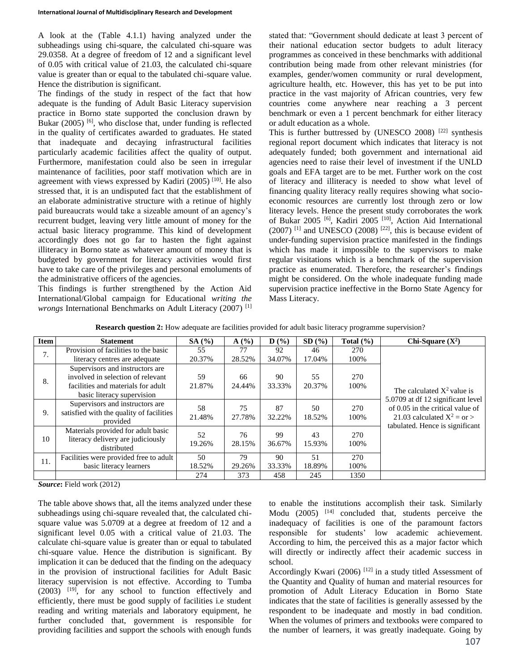A look at the (Table 4.1.1) having analyzed under the subheadings using chi-square, the calculated chi-square was 29.0358. At a degree of freedom of 12 and a significant level of 0.05 with critical value of 21.03, the calculated chi-square value is greater than or equal to the tabulated chi-square value. Hence the distribution is significant.

The findings of the study in respect of the fact that how adequate is the funding of Adult Basic Literacy supervision practice in Borno state supported the conclusion drawn by Bukar  $(2005)$  [6], who disclose that, under funding is reflected in the quality of certificates awarded to graduates. He stated that inadequate and decaying infrastructural facilities particularly academic facilities affect the quality of output. Furthermore, manifestation could also be seen in irregular maintenance of facilities, poor staff motivation which are in agreement with views expressed by Kadiri (2005)<sup>[10]</sup>. He also stressed that, it is an undisputed fact that the establishment of an elaborate administrative structure with a retinue of highly paid bureaucrats would take a sizeable amount of an agency's recurrent budget, leaving very little amount of money for the actual basic literacy programme. This kind of development accordingly does not go far to hasten the fight against illiteracy in Borno state as whatever amount of money that is budgeted by government for literacy activities would first have to take care of the privileges and personal emoluments of the administrative officers of the agencies.

This findings is further strengthened by the Action Aid International/Global campaign for Educational *writing the wrongs* International Benchmarks on Adult Literacy (2007)<sup>[1]</sup> stated that: "Government should dedicate at least 3 percent of their national education sector budgets to adult literacy programmes as conceived in these benchmarks with additional contribution being made from other relevant ministries (for examples, gender/women community or rural development, agriculture health, etc. However, this has yet to be put into practice in the vast majority of African countries, very few countries come anywhere near reaching a 3 percent benchmark or even a 1 percent benchmark for either literacy or adult education as a whole.

This is further buttressed by (UNESCO 2008)  $[22]$  synthesis regional report document which indicates that literacy is not adequately funded; both government and international aid agencies need to raise their level of investment if the UNLD goals and EFA target are to be met. Further work on the cost of literacy and illiteracy is needed to show what level of financing quality literacy really requires showing what socioeconomic resources are currently lost through zero or low literacy levels. Hence the present study corroborates the work of Bukar 2005 [6], Kadiri 2005 [10], Action Aid International  $(2007)$ <sup>[1]</sup> and UNESCO (2008)<sup>[22]</sup>, this is because evident of under-funding supervision practice manifested in the findings which has made it impossible to the supervisors to make regular visitations which is a benchmark of the supervision practice as enumerated. Therefore, the researcher's findings might be considered. On the whole inadequate funding made supervision practice ineffective in the Borno State Agency for Mass Literacy.

| <b>Item</b> | <b>Statement</b>                                                                                                                         | SA(%)        | A(%)         | $\mathbf{D}$ (%) | SD(%)        | Total $(\% )$ | Chi-Square $(X^2)$                                                                                                                                                         |
|-------------|------------------------------------------------------------------------------------------------------------------------------------------|--------------|--------------|------------------|--------------|---------------|----------------------------------------------------------------------------------------------------------------------------------------------------------------------------|
| 7.          | Provision of facilities to the basic<br>literacy centres are adequate                                                                    | 55<br>20.37% | 77<br>28.52% | 92<br>34.07%     | 46<br>17.04% | 270<br>100%   | The calculated $X^2$ value is<br>5.0709 at df 12 significant level<br>of 0.05 in the critical value of<br>21.03 calculated $X^2 =$ or ><br>tabulated. Hence is significant |
| 8.          | Supervisors and instructors are<br>involved in selection of relevant<br>facilities and materials for adult<br>basic literacy supervision | 59<br>21.87% | 66<br>24.44% | 90<br>33.33%     | 55<br>20.37% | 270<br>100%   |                                                                                                                                                                            |
| 9.          | Supervisors and instructors are<br>satisfied with the quality of facilities<br>provided                                                  | 58<br>21.48% | 75<br>27.78% | 87<br>32.22%     | 50<br>18.52% | 270<br>100%   |                                                                                                                                                                            |
| 10          | Materials provided for adult basic<br>literacy delivery are judiciously<br>distributed                                                   | 52<br>19.26% | 76<br>28.15% | 99<br>36.67%     | 43<br>15.93% | 270<br>100%   |                                                                                                                                                                            |
| 11.         | Facilities were provided free to adult<br>basic literacy learners                                                                        | 50<br>18.52% | 79<br>29.26% | 90<br>33.33%     | 51<br>18.89% | 270<br>100%   |                                                                                                                                                                            |
|             |                                                                                                                                          | 274          | 373          | 458              | 245          | 1350          |                                                                                                                                                                            |

**Research question 2:** How adequate are facilities provided for adult basic literacy programme supervision?

*Source***:** Field work (2012)

The table above shows that, all the items analyzed under these subheadings using chi-square revealed that, the calculated chisquare value was 5.0709 at a degree at freedom of 12 and a significant level 0.05 with a critical value of 21.03. The calculate chi-square value is greater than or equal to tabulated chi-square value. Hence the distribution is significant. By implication it can be deduced that the finding on the adequacy in the provision of instructional facilities for Adult Basic literacy supervision is not effective. According to Tumba  $(2003)$   $[19]$ , for any school to function effectively and efficiently, there must be good supply of facilities i.e student reading and writing materials and laboratory equipment, he further concluded that, government is responsible for providing facilities and support the schools with enough funds

to enable the institutions accomplish their task. Similarly Modu (2005) <sup>[14]</sup> concluded that, students perceive the inadequacy of facilities is one of the paramount factors responsible for students' low academic achievement. According to him, the perceived this as a major factor which will directly or indirectly affect their academic success in school.

Accordingly Kwari (2006) [12] in a study titled Assessment of the Quantity and Quality of human and material resources for promotion of Adult Literacy Education in Borno State indicates that the state of facilities is generally assessed by the respondent to be inadequate and mostly in bad condition. When the volumes of primers and textbooks were compared to the number of learners, it was greatly inadequate. Going by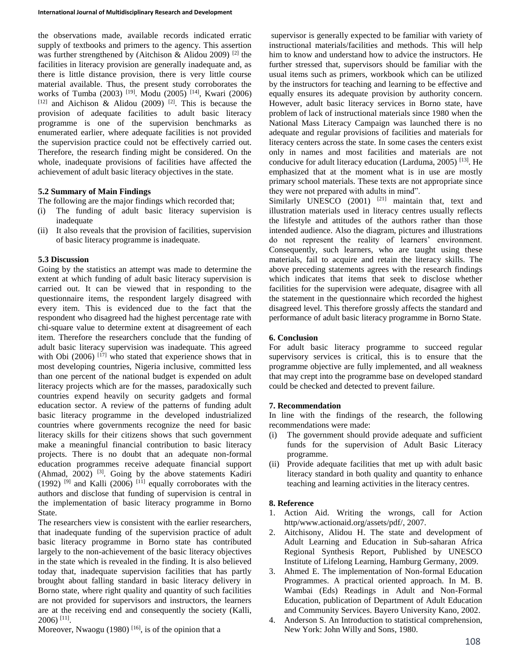the observations made, available records indicated erratic supply of textbooks and primers to the agency. This assertion was further strengthened by (Aitchison & Alidou 2009) <sup>[2]</sup> the facilities in literacy provision are generally inadequate and, as there is little distance provision, there is very little course material available. Thus, the present study corroborates the works of Tumba (2003) [19]. Modu (2005) [14], Kwari (2006)  $[12]$  and Aichison & Alidou (2009)  $[2]$ . This is because the provision of adequate facilities to adult basic literacy programme is one of the supervision benchmarks as enumerated earlier, where adequate facilities is not provided the supervision practice could not be effectively carried out. Therefore, the research finding might be considered. On the whole, inadequate provisions of facilities have affected the achievement of adult basic literacy objectives in the state.

### **5.2 Summary of Main Findings**

The following are the major findings which recorded that;

- (i) The funding of adult basic literacy supervision is inadequate
- (ii) It also reveals that the provision of facilities, supervision of basic literacy programme is inadequate.

### **5.3 Discussion**

Going by the statistics an attempt was made to determine the extent at which funding of adult basic literacy supervision is carried out. It can be viewed that in responding to the questionnaire items, the respondent largely disagreed with every item. This is evidenced due to the fact that the respondent who disagreed had the highest percentage rate with chi-square value to determine extent at disagreement of each item. Therefore the researchers conclude that the funding of adult basic literacy supervision was inadequate. This agreed with Obi (2006)  $^{[17]}$  who stated that experience shows that in most developing countries, Nigeria inclusive, committed less than one percent of the national budget is expended on adult literacy projects which are for the masses, paradoxically such countries expend heavily on security gadgets and formal education sector. A review of the patterns of funding adult basic literacy programme in the developed industrialized countries where governments recognize the need for basic literacy skills for their citizens shows that such government make a meaningful financial contribution to basic literacy projects. There is no doubt that an adequate non-formal education programmes receive adequate financial support (Ahmad, 2002)<sup>[3]</sup>. Going by the above statements Kadiri (1992)  $^{[9]}$  and Kalli (2006)  $^{[11]}$  equally corroborates with the authors and disclose that funding of supervision is central in the implementation of basic literacy programme in Borno State.

The researchers view is consistent with the earlier researchers, that inadequate funding of the supervision practice of adult basic literacy programme in Borno state has contributed largely to the non-achievement of the basic literacy objectives in the state which is revealed in the finding. It is also believed today that, inadequate supervision facilities that has partly brought about falling standard in basic literacy delivery in Borno state, where right quality and quantity of such facilities are not provided for supervisors and instructors, the learners are at the receiving end and consequently the society (Kalli, 2006) [11] .

Moreover, Nwaogu (1980)<sup>[16]</sup>, is of the opinion that a

supervisor is generally expected to be familiar with variety of instructional materials/facilities and methods. This will help him to know and understand how to advice the instructors. He further stressed that, supervisors should be familiar with the usual items such as primers, workbook which can be utilized by the instructors for teaching and learning to be effective and equally ensures its adequate provision by authority concern. However, adult basic literacy services in Borno state, have problem of lack of instructional materials since 1980 when the National Mass Literacy Campaign was launched there is no adequate and regular provisions of facilities and materials for literacy centers across the state. In some cases the centers exist only in names and most facilities and materials are not conducive for adult literacy education (Larduma, 2005) [13] . He emphasized that at the moment what is in use are mostly primary school materials. These texts are not appropriate since they were not prepared with adults in mind".

Similarly UNESCO (2001) <sup>[21]</sup> maintain that, text and illustration materials used in literacy centres usually reflects the lifestyle and attitudes of the authors rather than those intended audience. Also the diagram, pictures and illustrations do not represent the reality of learners' environment. Consequently, such learners, who are taught using these materials, fail to acquire and retain the literacy skills. The above preceding statements agrees with the research findings which indicates that items that seek to disclose whether facilities for the supervision were adequate, disagree with all the statement in the questionnaire which recorded the highest disagreed level. This therefore grossly affects the standard and performance of adult basic literacy programme in Borno State.

### **6. Conclusion**

For adult basic literacy programme to succeed regular supervisory services is critical, this is to ensure that the programme objective are fully implemented, and all weakness that may crept into the programme base on developed standard could be checked and detected to prevent failure.

#### **7. Recommendation**

In line with the findings of the research, the following recommendations were made:

- (i) The government should provide adequate and sufficient funds for the supervision of Adult Basic Literacy programme.
- (ii) Provide adequate facilities that met up with adult basic literacy standard in both quality and quantity to enhance teaching and learning activities in the literacy centres.

#### **8. Reference**

- 1. Action Aid. Writing the wrongs, call for Action http/www.actionaid.org/assets/pdf/, 2007.
- 2. Aitchisony, Alidou H. The state and development of Adult Learning and Education in Sub-saharan Africa Regional Synthesis Report, Published by UNESCO Institute of Lifelong Learning, Hamburg Germany, 2009.
- 3. Ahmed E. The implementation of Non-formal Education Programmes. A practical oriented approach. In M. B. Wambai (Eds) Readings in Adult and Non-Formal Education, publication of Department of Adult Education and Community Services. Bayero University Kano, 2002.
- 4. Anderson S. An Introduction to statistical comprehension, New York: John Willy and Sons, 1980.